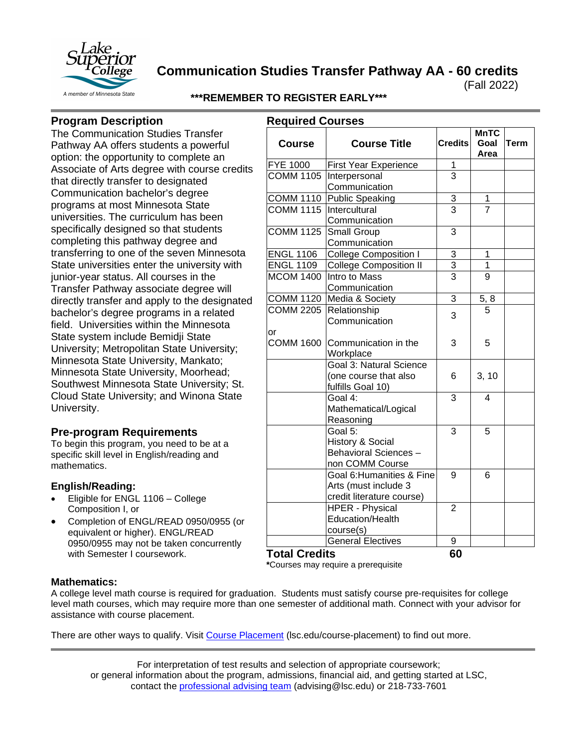

**Communication Studies Transfer Pathway AA - 60 credits**

(Fall 2022)

**\*\*\*REMEMBER TO REGISTER EARLY\*\*\***

## **Program Description**

The Communication Studies Transfer Pathway AA offers students a powerful option: the opportunity to complete an Associate of Arts degree with course credits that directly transfer to designated Communication bachelor's degree programs at most Minnesota State universities. The curriculum has been specifically designed so that students completing this pathway degree and transferring to one of the seven Minnesota State universities enter the university with junior-year status. All courses in the Transfer Pathway associate degree will directly transfer and apply to the designated bachelor's degree programs in a related field. Universities within the Minnesota State system include Bemidji State University; Metropolitan State University; Minnesota State University, Mankato; Minnesota State University, Moorhead; Southwest Minnesota State University; St. Cloud State University; and Winona State University.

## **Pre-program Requirements**

To begin this program, you need to be at a specific skill level in English/reading and mathematics.

#### **English/Reading:**

- Eligible for ENGL 1106 College Composition I, or
- Completion of ENGL/READ 0950/0955 (or equivalent or higher). ENGL/READ 0950/0955 may not be taken concurrently with Semester I coursework.

| <b>Required Courses</b> |                               |                | <b>MnTC</b>    |             |
|-------------------------|-------------------------------|----------------|----------------|-------------|
| <b>Course</b>           | <b>Course Title</b>           | <b>Credits</b> | Goal<br>Area   | <b>Term</b> |
| <b>FYE 1000</b>         | First Year Experience         | 1              |                |             |
| <b>COMM 1105</b>        | Interpersonal                 | 3              |                |             |
|                         | Communication                 |                |                |             |
| <b>COMM 1110</b>        | Public Speaking               | $\overline{3}$ | 1              |             |
| <b>COMM 1115</b>        | Intercultural                 | $\overline{3}$ | $\overline{7}$ |             |
|                         | Communication                 |                |                |             |
| <b>COMM 1125</b>        | Small Group                   | 3              |                |             |
|                         | Communication                 |                |                |             |
| <b>ENGL 1106</b>        | <b>College Composition I</b>  | 3              | 1              |             |
| <b>ENGL 1109</b>        | <b>College Composition II</b> |                | $\mathbf 1$    |             |
| <b>MCOM 1400</b>        | Intro to Mass                 | $\frac{3}{3}$  | 9              |             |
|                         | Communication                 |                |                |             |
|                         | COMM 1120 Media & Society     | 3              | 5, 8           |             |
| <b>COMM 2205</b>        | Relationship                  |                | $\overline{5}$ |             |
|                         | Communication                 | 3              |                |             |
| or                      |                               |                |                |             |
| <b>COMM 1600</b>        | Communication in the          | 3              | 5              |             |
|                         | Workplace                     |                |                |             |
|                         | Goal 3: Natural Science       |                |                |             |
|                         | (one course that also         | 6              | 3, 10          |             |
|                         | fulfills Goal 10)             |                |                |             |
|                         | Goal 4:                       | 3              | 4              |             |
|                         | Mathematical/Logical          |                |                |             |
|                         | Reasoning                     |                |                |             |
|                         | Goal 5:                       | 3              | 5              |             |
|                         | History & Social              |                |                |             |
|                         | Behavioral Sciences -         |                |                |             |
|                         | non COMM Course               |                |                |             |
|                         | Goal 6: Humanities & Fine     | 9              | 6              |             |
|                         | Arts (must include 3          |                |                |             |
|                         | credit literature course)     |                |                |             |
|                         | <b>HPER - Physical</b>        | $\overline{2}$ |                |             |
|                         | <b>Education/Health</b>       |                |                |             |
|                         | course(s)                     |                |                |             |
|                         | <b>General Electives</b>      | 9              |                |             |
| ЛÓ.                     |                               | r n            |                |             |

**Total Credits 60**

**\***Courses may require a prerequisite

#### **Mathematics:**

A college level math course is required for graduation. Students must satisfy course pre-requisites for college level math courses, which may require more than one semester of additional math. Connect with your advisor for assistance with course placement.

There are other ways to qualify. Visit [Course Placement](https://www.lsc.edu/course-placement/) (lsc.edu/course-placement) to find out more.

For interpretation of test results and selection of appropriate coursework; or general information about the program, admissions, financial aid, and getting started at LSC, contact the [professional advising team](mailto:advising@lsc.edu) (advising@lsc.edu) or 218-733-7601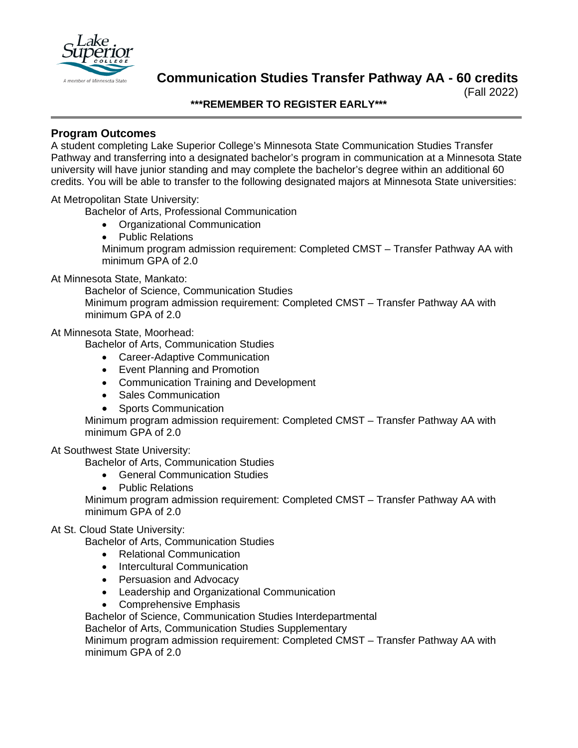

# **Communication Studies Transfer Pathway AA - 60 credits**

(Fall 2022)

#### **\*\*\*REMEMBER TO REGISTER EARLY\*\*\***

### **Program Outcomes**

A student completing Lake Superior College's Minnesota State Communication Studies Transfer Pathway and transferring into a designated bachelor's program in communication at a Minnesota State university will have junior standing and may complete the bachelor's degree within an additional 60 credits. You will be able to transfer to the following designated majors at Minnesota State universities:

#### At Metropolitan State University:

Bachelor of Arts, Professional Communication

- Organizational Communication
- Public Relations Minimum program admission requirement: Completed CMST – Transfer Pathway AA with minimum GPA of 2.0

#### At Minnesota State, Mankato:

Bachelor of Science, Communication Studies Minimum program admission requirement: Completed CMST – Transfer Pathway AA with minimum GPA of 2.0

#### At Minnesota State, Moorhead:

Bachelor of Arts, Communication Studies

- Career-Adaptive Communication
- Event Planning and Promotion
- Communication Training and Development
- Sales Communication
- Sports Communication

Minimum program admission requirement: Completed CMST – Transfer Pathway AA with minimum GPA of 2.0

#### At Southwest State University:

Bachelor of Arts, Communication Studies

- General Communication Studies
- Public Relations

Minimum program admission requirement: Completed CMST – Transfer Pathway AA with minimum GPA of 2.0

#### At St. Cloud State University:

Bachelor of Arts, Communication Studies

- Relational Communication
- Intercultural Communication
- Persuasion and Advocacy
- Leadership and Organizational Communication
- Comprehensive Emphasis

Bachelor of Science, Communication Studies Interdepartmental

Bachelor of Arts, Communication Studies Supplementary

Minimum program admission requirement: Completed CMST – Transfer Pathway AA with minimum GPA of 2.0